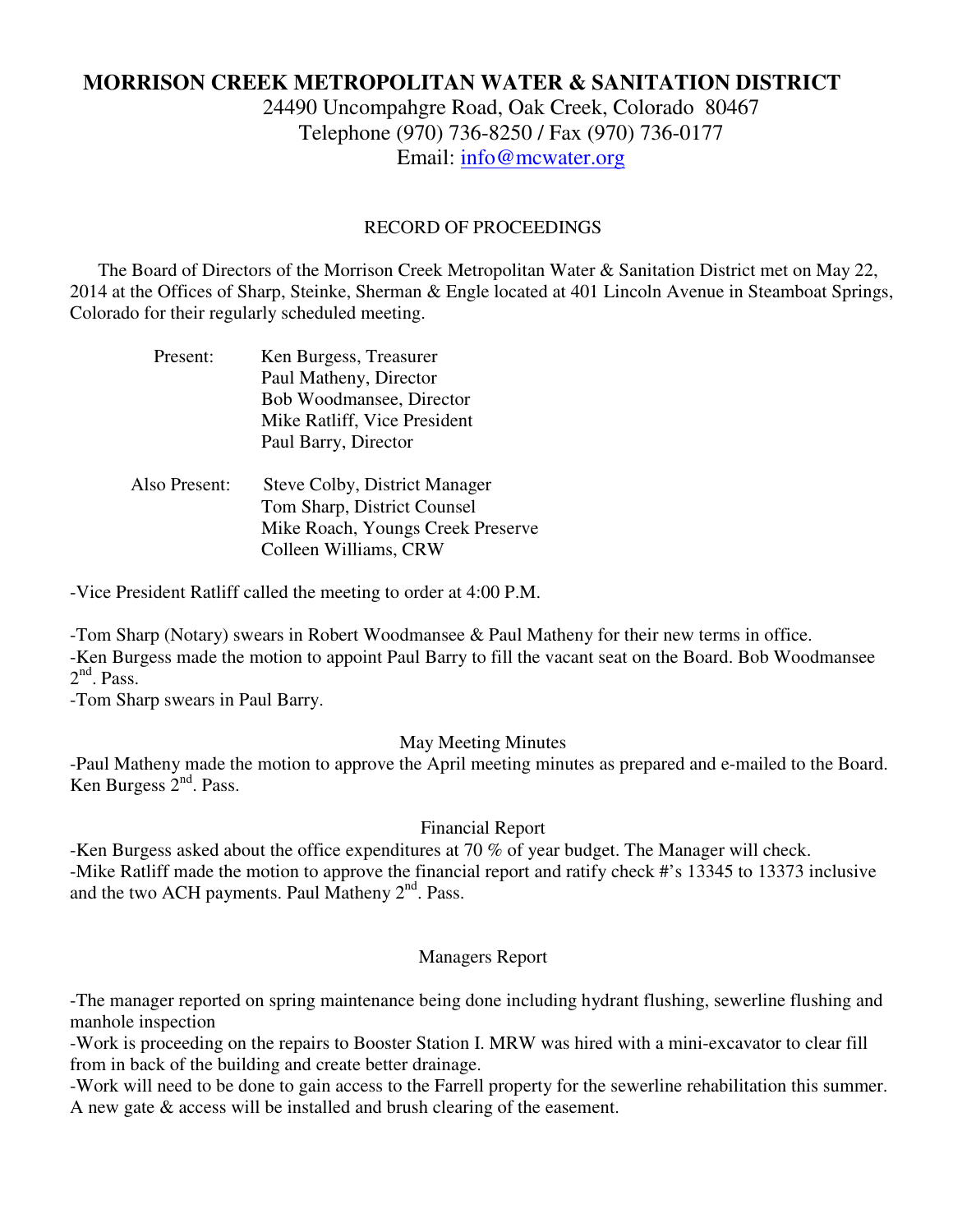# **MORRISON CREEK METROPOLITAN WATER & SANITATION DISTRICT**

24490 Uncompahgre Road, Oak Creek, Colorado 80467 Telephone (970) 736-8250 / Fax (970) 736-0177 Email: info@mcwater.org

### RECORD OF PROCEEDINGS

 The Board of Directors of the Morrison Creek Metropolitan Water & Sanitation District met on May 22, 2014 at the Offices of Sharp, Steinke, Sherman & Engle located at 401 Lincoln Avenue in Steamboat Springs, Colorado for their regularly scheduled meeting.

| Present:      | Ken Burgess, Treasurer<br>Paul Matheny, Director<br>Bob Woodmansee, Director<br>Mike Ratliff, Vice President<br>Paul Barry, Director |
|---------------|--------------------------------------------------------------------------------------------------------------------------------------|
| Also Present: | <b>Steve Colby, District Manager</b><br>Tom Sharp, District Counsel<br>Mike Roach, Youngs Creek Preserve<br>Colleen Williams, CRW    |

-Vice President Ratliff called the meeting to order at 4:00 P.M.

-Tom Sharp (Notary) swears in Robert Woodmansee & Paul Matheny for their new terms in office. -Ken Burgess made the motion to appoint Paul Barry to fill the vacant seat on the Board. Bob Woodmansee  $2<sup>nd</sup>$ . Pass.

-Tom Sharp swears in Paul Barry.

## May Meeting Minutes

-Paul Matheny made the motion to approve the April meeting minutes as prepared and e-mailed to the Board. Ken Burgess 2<sup>nd</sup>. Pass.

## Financial Report

-Ken Burgess asked about the office expenditures at 70 % of year budget. The Manager will check. -Mike Ratliff made the motion to approve the financial report and ratify check #'s 13345 to 13373 inclusive and the two ACH payments. Paul Matheny  $2<sup>nd</sup>$ . Pass.

#### Managers Report

-The manager reported on spring maintenance being done including hydrant flushing, sewerline flushing and manhole inspection

-Work is proceeding on the repairs to Booster Station I. MRW was hired with a mini-excavator to clear fill from in back of the building and create better drainage.

-Work will need to be done to gain access to the Farrell property for the sewerline rehabilitation this summer. A new gate & access will be installed and brush clearing of the easement.